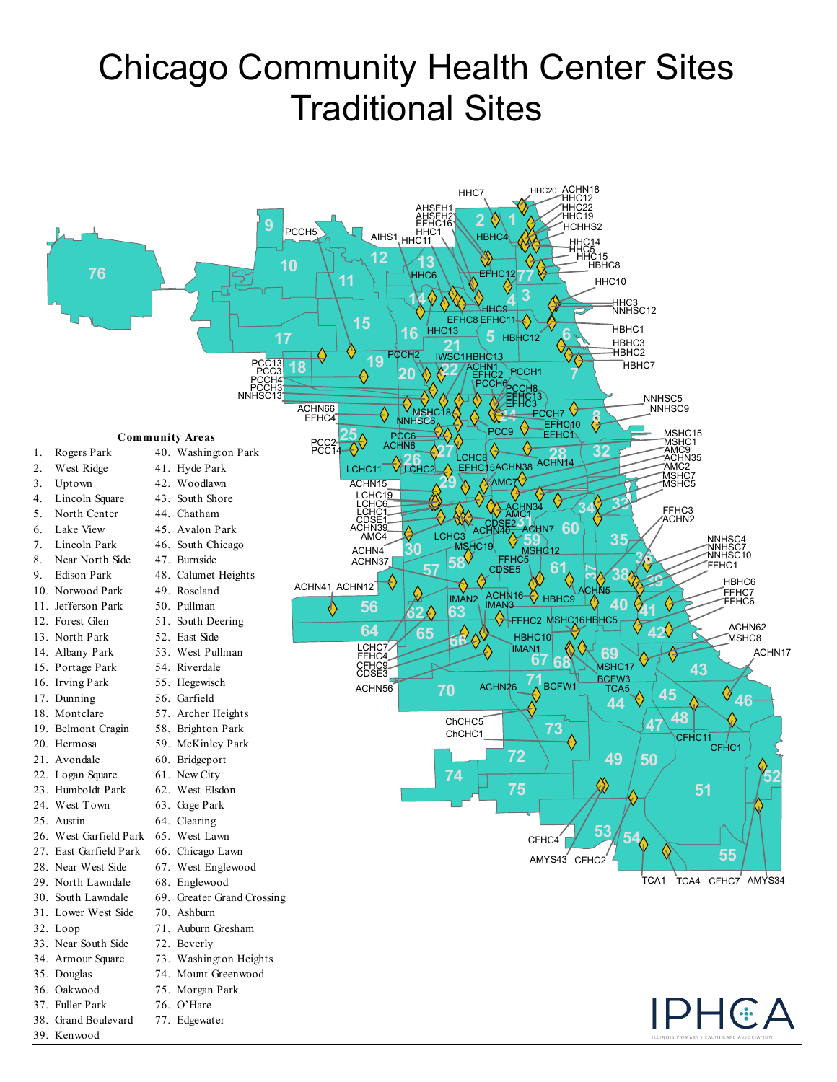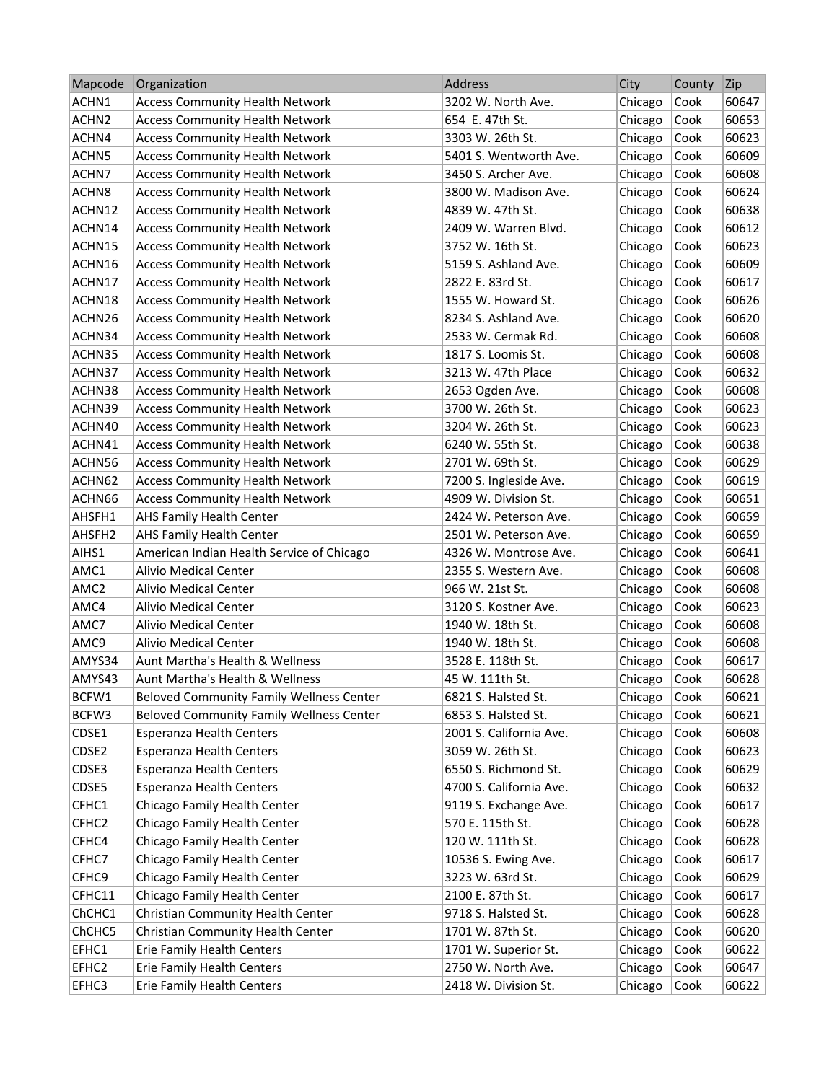| Mapcode            | Organization                                    | Address                 | City    | County | Zip   |
|--------------------|-------------------------------------------------|-------------------------|---------|--------|-------|
| ACHN1              | <b>Access Community Health Network</b>          | 3202 W. North Ave.      | Chicago | Cook   | 60647 |
| ACHN <sub>2</sub>  | <b>Access Community Health Network</b>          | 654 E. 47th St.         | Chicago | Cook   | 60653 |
| ACHN4              | <b>Access Community Health Network</b>          | 3303 W. 26th St.        | Chicago | Cook   | 60623 |
| ACHN5              | <b>Access Community Health Network</b>          | 5401 S. Wentworth Ave.  | Chicago | Cook   | 60609 |
| ACHN7              | <b>Access Community Health Network</b>          | 3450 S. Archer Ave.     | Chicago | Cook   | 60608 |
| ACHN <sub>8</sub>  | <b>Access Community Health Network</b>          | 3800 W. Madison Ave.    | Chicago | Cook   | 60624 |
| ACHN12             | <b>Access Community Health Network</b>          | 4839 W. 47th St.        | Chicago | Cook   | 60638 |
| ACHN14             | <b>Access Community Health Network</b>          | 2409 W. Warren Blvd.    | Chicago | Cook   | 60612 |
| ACHN15             | <b>Access Community Health Network</b>          | 3752 W. 16th St.        | Chicago | Cook   | 60623 |
| ACHN16             | <b>Access Community Health Network</b>          | 5159 S. Ashland Ave.    | Chicago | Cook   | 60609 |
| ACHN17             | <b>Access Community Health Network</b>          | 2822 E. 83rd St.        | Chicago | Cook   | 60617 |
| ACHN18             | <b>Access Community Health Network</b>          | 1555 W. Howard St.      | Chicago | Cook   | 60626 |
| ACHN26             | <b>Access Community Health Network</b>          | 8234 S. Ashland Ave.    | Chicago | Cook   | 60620 |
| ACHN34             | <b>Access Community Health Network</b>          | 2533 W. Cermak Rd.      | Chicago | Cook   | 60608 |
| ACHN35             | <b>Access Community Health Network</b>          | 1817 S. Loomis St.      | Chicago | Cook   | 60608 |
| ACHN37             | <b>Access Community Health Network</b>          | 3213 W. 47th Place      | Chicago | Cook   | 60632 |
| ACHN38             | <b>Access Community Health Network</b>          | 2653 Ogden Ave.         | Chicago | Cook   | 60608 |
| ACHN39             | <b>Access Community Health Network</b>          | 3700 W. 26th St.        | Chicago | Cook   | 60623 |
| ACHN40             | <b>Access Community Health Network</b>          | 3204 W. 26th St.        | Chicago | Cook   | 60623 |
| ACHN41             | <b>Access Community Health Network</b>          | 6240 W. 55th St.        | Chicago | Cook   | 60638 |
| ACHN56             | <b>Access Community Health Network</b>          | 2701 W. 69th St.        | Chicago | Cook   | 60629 |
| ACHN62             | <b>Access Community Health Network</b>          | 7200 S. Ingleside Ave.  | Chicago | Cook   | 60619 |
| ACHN66             | <b>Access Community Health Network</b>          | 4909 W. Division St.    | Chicago | Cook   | 60651 |
| AHSFH1             | AHS Family Health Center                        | 2424 W. Peterson Ave.   | Chicago | Cook   | 60659 |
| AHSFH <sub>2</sub> | AHS Family Health Center                        | 2501 W. Peterson Ave.   | Chicago | Cook   | 60659 |
| AIHS1              | American Indian Health Service of Chicago       | 4326 W. Montrose Ave.   | Chicago | Cook   | 60641 |
| AMC1               | <b>Alivio Medical Center</b>                    | 2355 S. Western Ave.    | Chicago | Cook   | 60608 |
| AMC <sub>2</sub>   | Alivio Medical Center                           | 966 W. 21st St.         | Chicago | Cook   | 60608 |
| AMC4               | Alivio Medical Center                           | 3120 S. Kostner Ave.    | Chicago | Cook   | 60623 |
| AMC7               | Alivio Medical Center                           | 1940 W. 18th St.        | Chicago | Cook   | 60608 |
| AMC9               | Alivio Medical Center                           | 1940 W. 18th St.        | Chicago | Cook   | 60608 |
| AMYS34             | Aunt Martha's Health & Wellness                 | 3528 E. 118th St.       | Chicago | Cook   | 60617 |
| AMYS43             | Aunt Martha's Health & Wellness                 | 45 W. 111th St.         | Chicago | Cook   | 60628 |
| BCFW1              | <b>Beloved Community Family Wellness Center</b> | 6821 S. Halsted St.     | Chicago | Cook   | 60621 |
| BCFW3              | <b>Beloved Community Family Wellness Center</b> | 6853 S. Halsted St.     | Chicago | Cook   | 60621 |
| CDSE1              | <b>Esperanza Health Centers</b>                 | 2001 S. California Ave. | Chicago | Cook   | 60608 |
| CDSE2              | <b>Esperanza Health Centers</b>                 | 3059 W. 26th St.        | Chicago | Cook   | 60623 |
| CDSE3              | <b>Esperanza Health Centers</b>                 | 6550 S. Richmond St.    | Chicago | Cook   | 60629 |
| CDSE5              | <b>Esperanza Health Centers</b>                 | 4700 S. California Ave. | Chicago | Cook   | 60632 |
| CFHC1              | Chicago Family Health Center                    | 9119 S. Exchange Ave.   | Chicago | Cook   | 60617 |
| CFHC <sub>2</sub>  | Chicago Family Health Center                    | 570 E. 115th St.        | Chicago | Cook   | 60628 |
| CFHC4              | Chicago Family Health Center                    | 120 W. 111th St.        | Chicago | Cook   | 60628 |
| CFHC7              | Chicago Family Health Center                    | 10536 S. Ewing Ave.     | Chicago | Cook   | 60617 |
| CFHC9              | Chicago Family Health Center                    | 3223 W. 63rd St.        | Chicago | Cook   | 60629 |
| CFHC11             | Chicago Family Health Center                    | 2100 E. 87th St.        | Chicago | Cook   | 60617 |
| ChCHC1             | Christian Community Health Center               | 9718 S. Halsted St.     | Chicago | Cook   | 60628 |
| ChCHC5             | Christian Community Health Center               | 1701 W. 87th St.        | Chicago | Cook   | 60620 |
| EFHC1              | Erie Family Health Centers                      | 1701 W. Superior St.    | Chicago | Cook   | 60622 |
| EFHC2              | Erie Family Health Centers                      | 2750 W. North Ave.      | Chicago | Cook   | 60647 |
| EFHC3              | Erie Family Health Centers                      | 2418 W. Division St.    | Chicago | Cook   | 60622 |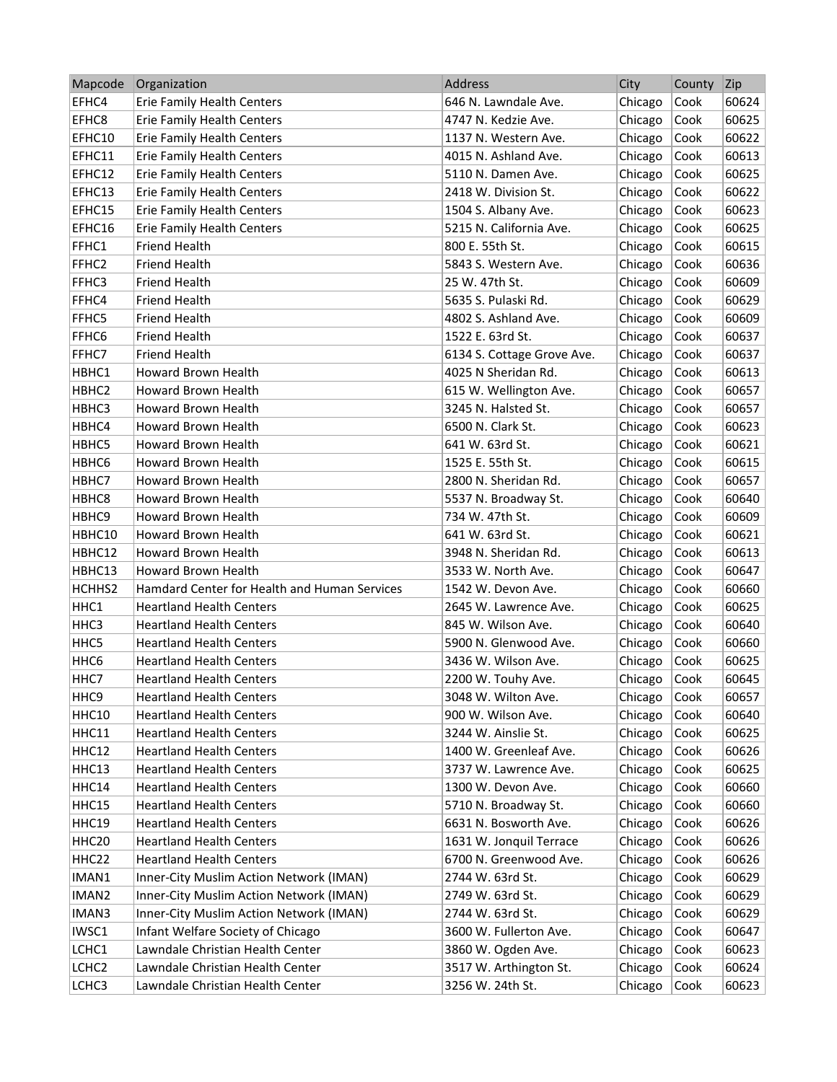| Mapcode           | Organization                                 | Address                    | City    | County | Zip   |
|-------------------|----------------------------------------------|----------------------------|---------|--------|-------|
| EFHC4             | Erie Family Health Centers                   | 646 N. Lawndale Ave.       | Chicago | Cook   | 60624 |
| EFHC8             | <b>Erie Family Health Centers</b>            | 4747 N. Kedzie Ave.        | Chicago | Cook   | 60625 |
| EFHC10            | Erie Family Health Centers                   | 1137 N. Western Ave.       | Chicago | Cook   | 60622 |
| EFHC11            | Erie Family Health Centers                   | 4015 N. Ashland Ave.       | Chicago | Cook   | 60613 |
| EFHC12            | Erie Family Health Centers                   | 5110 N. Damen Ave.         | Chicago | Cook   | 60625 |
| EFHC13            | Erie Family Health Centers                   | 2418 W. Division St.       | Chicago | Cook   | 60622 |
| EFHC15            | <b>Erie Family Health Centers</b>            | 1504 S. Albany Ave.        | Chicago | Cook   | 60623 |
| EFHC16            | <b>Erie Family Health Centers</b>            | 5215 N. California Ave.    | Chicago | Cook   | 60625 |
| FFHC1             | <b>Friend Health</b>                         | 800 E. 55th St.            | Chicago | Cook   | 60615 |
| FFHC <sub>2</sub> | Friend Health                                | 5843 S. Western Ave.       | Chicago | Cook   | 60636 |
| FFHC3             | <b>Friend Health</b>                         | 25 W. 47th St.             | Chicago | Cook   | 60609 |
| FFHC4             | <b>Friend Health</b>                         | 5635 S. Pulaski Rd.        | Chicago | Cook   | 60629 |
| FFHC5             | <b>Friend Health</b>                         | 4802 S. Ashland Ave.       | Chicago | Cook   | 60609 |
| FFHC6             | <b>Friend Health</b>                         | 1522 E. 63rd St.           | Chicago | Cook   | 60637 |
| FFHC7             | <b>Friend Health</b>                         | 6134 S. Cottage Grove Ave. | Chicago | Cook   | 60637 |
| HBHC1             | Howard Brown Health                          | 4025 N Sheridan Rd.        | Chicago | Cook   | 60613 |
| HBHC2             | Howard Brown Health                          | 615 W. Wellington Ave.     | Chicago | Cook   | 60657 |
| HBHC3             | <b>Howard Brown Health</b>                   | 3245 N. Halsted St.        | Chicago | Cook   | 60657 |
| HBHC4             | <b>Howard Brown Health</b>                   | 6500 N. Clark St.          | Chicago | Cook   | 60623 |
| HBHC5             | Howard Brown Health                          | 641 W. 63rd St.            | Chicago | Cook   | 60621 |
| HBHC6             | <b>Howard Brown Health</b>                   | 1525 E. 55th St.           | Chicago | Cook   | 60615 |
| HBHC7             | Howard Brown Health                          | 2800 N. Sheridan Rd.       | Chicago | Cook   | 60657 |
| HBHC8             | Howard Brown Health                          | 5537 N. Broadway St.       | Chicago | Cook   | 60640 |
| HBHC9             | Howard Brown Health                          | 734 W. 47th St.            | Chicago | Cook   | 60609 |
| HBHC10            | Howard Brown Health                          | 641 W. 63rd St.            | Chicago | Cook   | 60621 |
| HBHC12            | Howard Brown Health                          | 3948 N. Sheridan Rd.       | Chicago | Cook   | 60613 |
| HBHC13            | Howard Brown Health                          | 3533 W. North Ave.         | Chicago | Cook   | 60647 |
| HCHHS2            | Hamdard Center for Health and Human Services | 1542 W. Devon Ave.         | Chicago | Cook   | 60660 |
| HHC1              | <b>Heartland Health Centers</b>              | 2645 W. Lawrence Ave.      | Chicago | Cook   | 60625 |
| HHC3              | <b>Heartland Health Centers</b>              | 845 W. Wilson Ave.         | Chicago | Cook   | 60640 |
| HHC5              | <b>Heartland Health Centers</b>              | 5900 N. Glenwood Ave.      | Chicago | Cook   | 60660 |
| HHC <sub>6</sub>  | <b>Heartland Health Centers</b>              | 3436 W. Wilson Ave.        | Chicago | Cook   | 60625 |
| HHC7              | <b>Heartland Health Centers</b>              | 2200 W. Touhy Ave.         | Chicago | Cook   | 60645 |
| HHC <sub>9</sub>  | <b>Heartland Health Centers</b>              | 3048 W. Wilton Ave.        | Chicago | Cook   | 60657 |
| HHC10             | <b>Heartland Health Centers</b>              | 900 W. Wilson Ave.         | Chicago | Cook   | 60640 |
| HHC11             | <b>Heartland Health Centers</b>              | 3244 W. Ainslie St.        | Chicago | Cook   | 60625 |
| HHC12             | <b>Heartland Health Centers</b>              | 1400 W. Greenleaf Ave.     | Chicago | Cook   | 60626 |
| HHC13             | <b>Heartland Health Centers</b>              | 3737 W. Lawrence Ave.      | Chicago | Cook   | 60625 |
| HHC14             | <b>Heartland Health Centers</b>              | 1300 W. Devon Ave.         | Chicago | Cook   | 60660 |
| HHC15             | <b>Heartland Health Centers</b>              | 5710 N. Broadway St.       | Chicago | Cook   | 60660 |
| HHC19             | <b>Heartland Health Centers</b>              | 6631 N. Bosworth Ave.      | Chicago | Cook   | 60626 |
| HHC20             | <b>Heartland Health Centers</b>              | 1631 W. Jonquil Terrace    | Chicago | Cook   | 60626 |
| HHC22             | <b>Heartland Health Centers</b>              | 6700 N. Greenwood Ave.     | Chicago | Cook   | 60626 |
| IMAN1             | Inner-City Muslim Action Network (IMAN)      | 2744 W. 63rd St.           | Chicago | Cook   | 60629 |
| IMAN2             | Inner-City Muslim Action Network (IMAN)      | 2749 W. 63rd St.           | Chicago | Cook   | 60629 |
| IMAN3             | Inner-City Muslim Action Network (IMAN)      | 2744 W. 63rd St.           | Chicago | Cook   | 60629 |
| IWSC1             | Infant Welfare Society of Chicago            | 3600 W. Fullerton Ave.     | Chicago | Cook   | 60647 |
| LCHC1             | Lawndale Christian Health Center             | 3860 W. Ogden Ave.         | Chicago | Cook   | 60623 |
| LCHC <sub>2</sub> | Lawndale Christian Health Center             | 3517 W. Arthington St.     | Chicago | Cook   | 60624 |
| LCHC3             | Lawndale Christian Health Center             | 3256 W. 24th St.           | Chicago | Cook   | 60623 |